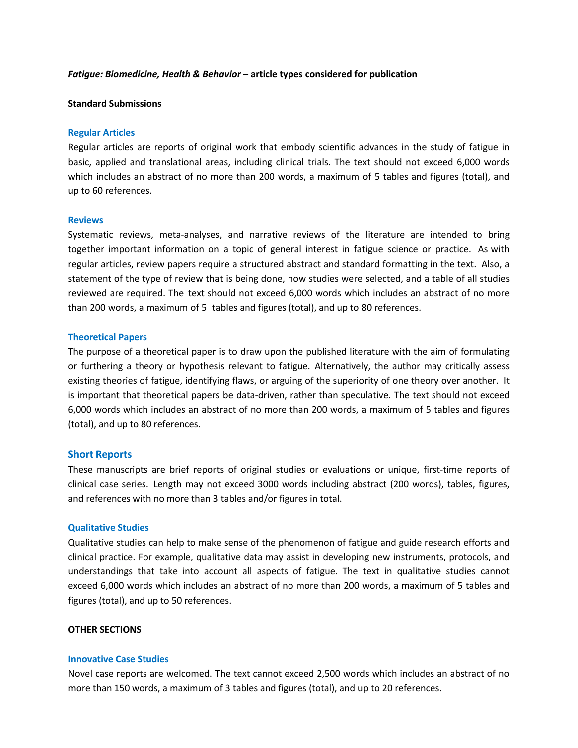### *Fatigue: Biomedicine, Health & Behavior –* **article types considered for publication**

# **Standard Submissions**

### **Regular Articles**

Regular articles are reports of original work that embody scientific advances in the study of fatigue in basic, applied and translational areas, including clinical trials. The text should not exceed 6,000 words which includes an abstract of no more than 200 words, a maximum of 5 tables and figures (total), and up to 60 references.

### **Reviews**

Systematic reviews, meta-analyses, and narrative reviews of the literature are intended to bring together important information on a topic of general interest in fatigue science or practice. As with regular articles, review papers require a structured abstract and standard formatting in the text. Also, a statement of the type of review that is being done, how studies were selected, and a table of all studies reviewed are required. The text should not exceed 6,000 words which includes an abstract of no more than 200 words, a maximum of 5 tables and figures (total), and up to 80 references.

### **Theoretical Papers**

The purpose of a theoretical paper is to draw upon the published literature with the aim of formulating or furthering a theory or hypothesis relevant to fatigue. Alternatively, the author may critically assess existing theories of fatigue, identifying flaws, or arguing of the superiority of one theory over another. It is important that theoretical papers be data-driven, rather than speculative. The text should not exceed 6,000 words which includes an abstract of no more than 200 words, a maximum of 5 tables and figures (total), and up to 80 references.

## **Short Reports**

These manuscripts are brief reports of original studies or evaluations or unique, first-time reports of clinical case series. Length may not exceed 3000 words including abstract (200 words), tables, figures, and references with no more than 3 tables and/or figures in total.

#### **Qualitative Studies**

Qualitative studies can help to make sense of the phenomenon of fatigue and guide research efforts and clinical practice. For example, qualitative data may assist in developing new instruments, protocols, and understandings that take into account all aspects of fatigue. The text in qualitative studies cannot exceed 6,000 words which includes an abstract of no more than 200 words, a maximum of 5 tables and figures (total), and up to 50 references.

## **OTHER SECTIONS**

## **Innovative Case Studies**

Novel case reports are welcomed. The text cannot exceed 2,500 words which includes an abstract of no more than 150 words, a maximum of 3 tables and figures (total), and up to 20 references.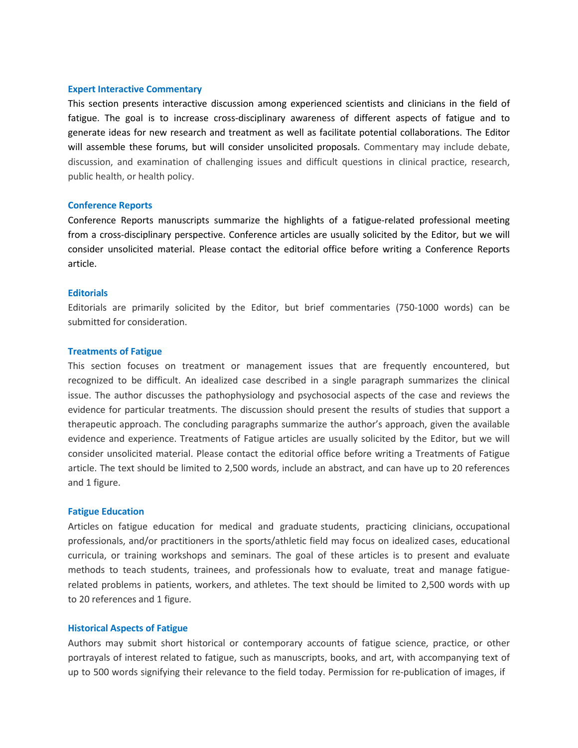## **Expert Interactive Commentary**

This section presents interactive discussion among experienced scientists and clinicians in the field of fatigue. The goal is to increase cross-disciplinary awareness of different aspects of fatigue and to generate ideas for new research and treatment as well as facilitate potential collaborations. The Editor will assemble these forums, but will consider unsolicited proposals. Commentary may include debate, discussion, and examination of challenging issues and difficult questions in clinical practice, research, public health, or health policy.

#### **Conference Reports**

Conference Reports manuscripts summarize the highlights of a fatigue-related professional meeting from a cross-disciplinary perspective. Conference articles are usually solicited by the Editor, but we will consider unsolicited material. Please contact the editorial office before writing a Conference Reports article.

#### **Editorials**

Editorials are primarily solicited by the Editor, but brief commentaries (750-1000 words) can be submitted for consideration.

#### **Treatments of Fatigue**

This section focuses on treatment or management issues that are frequently encountered, but recognized to be difficult. An idealized case described in a single paragraph summarizes the clinical issue. The author discusses the pathophysiology and psychosocial aspects of the case and reviews the evidence for particular treatments. The discussion should present the results of studies that support a therapeutic approach. The concluding paragraphs summarize the author's approach, given the available evidence and experience. Treatments of Fatigue articles are usually solicited by the Editor, but we will consider unsolicited material. Please contact the editorial office before writing a Treatments of Fatigue article. The text should be limited to 2,500 words, include an abstract, and can have up to 20 references and 1 figure.

#### **Fatigue Education**

Articles on fatigue education for medical and graduate students, practicing clinicians, occupational professionals, and/or practitioners in the sports/athletic field may focus on idealized cases, educational curricula, or training workshops and seminars. The goal of these articles is to present and evaluate methods to teach students, trainees, and professionals how to evaluate, treat and manage fatiguerelated problems in patients, workers, and athletes. The text should be limited to 2,500 words with up to 20 references and 1 figure.

## **Historical Aspects of Fatigue**

Authors may submit short historical or contemporary accounts of fatigue science, practice, or other portrayals of interest related to fatigue, such as manuscripts, books, and art, with accompanying text of up to 500 words signifying their relevance to the field today. Permission for re-publication of images, if